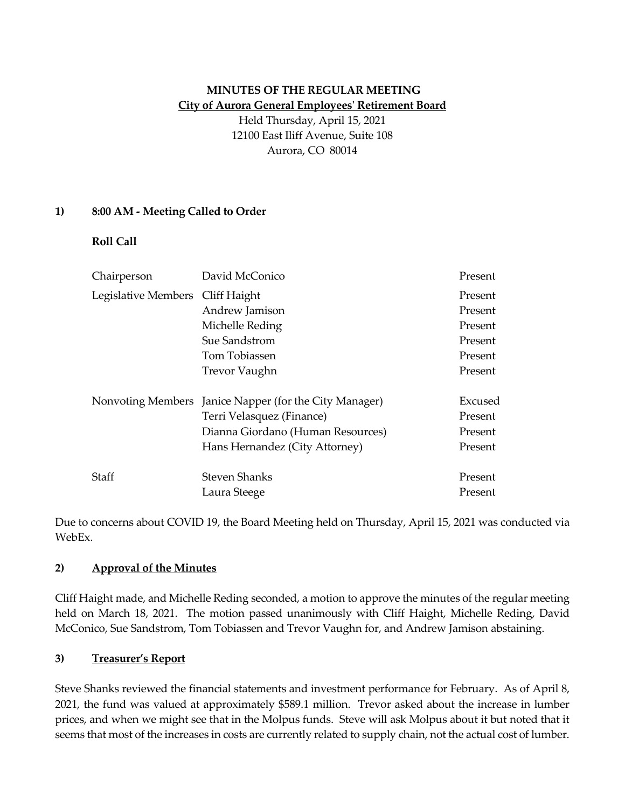# **MINUTES OF THE REGULAR MEETING City of Aurora General Employees' Retirement Board**

Held Thursday, April 15, 2021 12100 East Iliff Avenue, Suite 108 Aurora, CO 80014

### **1) 8:00 AM - Meeting Called to Order**

**Roll Call**

| Chairperson                      | David McConico                                         | Present |
|----------------------------------|--------------------------------------------------------|---------|
| Legislative Members Cliff Haight |                                                        | Present |
|                                  | Andrew Jamison                                         | Present |
|                                  | Michelle Reding                                        | Present |
|                                  | Sue Sandstrom                                          | Present |
|                                  | Tom Tobiassen                                          | Present |
|                                  | Trevor Vaughn                                          | Present |
|                                  | Nonvoting Members Janice Napper (for the City Manager) | Excused |
|                                  | Terri Velasquez (Finance)                              | Present |
|                                  | Dianna Giordano (Human Resources)                      | Present |
|                                  | Hans Hernandez (City Attorney)                         | Present |
| Staff                            | Steven Shanks                                          | Present |
|                                  | Laura Steege                                           | Present |

Due to concerns about COVID 19, the Board Meeting held on Thursday, April 15, 2021 was conducted via WebEx.

#### **2) Approval of the Minutes**

Cliff Haight made, and Michelle Reding seconded, a motion to approve the minutes of the regular meeting held on March 18, 2021. The motion passed unanimously with Cliff Haight, Michelle Reding, David McConico, Sue Sandstrom, Tom Tobiassen and Trevor Vaughn for, and Andrew Jamison abstaining.

## **3) Treasurer's Report**

Steve Shanks reviewed the financial statements and investment performance for February. As of April 8, 2021, the fund was valued at approximately \$589.1 million. Trevor asked about the increase in lumber prices, and when we might see that in the Molpus funds. Steve will ask Molpus about it but noted that it seems that most of the increases in costs are currently related to supply chain, not the actual cost of lumber.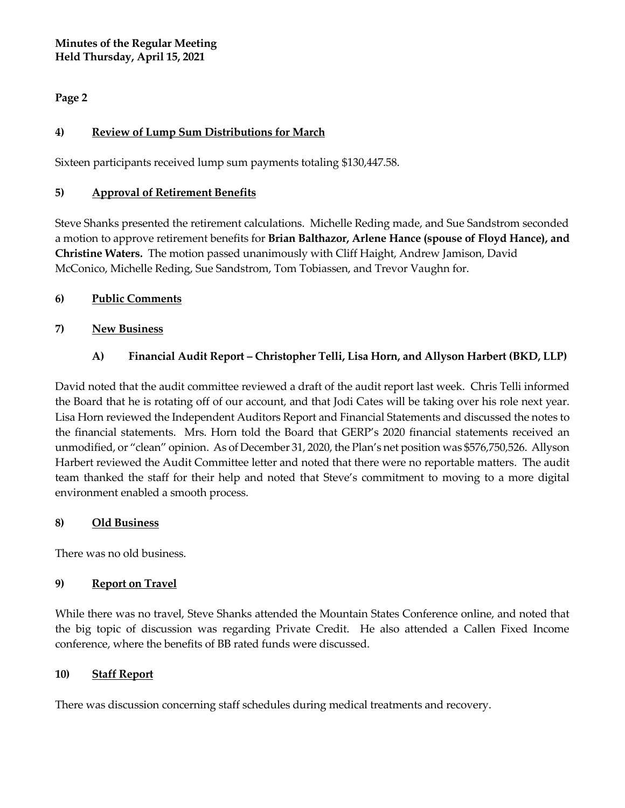**Minutes of the Regular Meeting Held Thursday, April 15, 2021**

## **Page 2**

## **4) Review of Lump Sum Distributions for March**

Sixteen participants received lump sum payments totaling \$130,447.58.

### **5) Approval of Retirement Benefits**

Steve Shanks presented the retirement calculations. Michelle Reding made, and Sue Sandstrom seconded a motion to approve retirement benefits for **Brian Balthazor, Arlene Hance (spouse of Floyd Hance), and Christine Waters.** The motion passed unanimously with Cliff Haight, Andrew Jamison, David McConico, Michelle Reding, Sue Sandstrom, Tom Tobiassen, and Trevor Vaughn for.

### **6) Public Comments**

### **7) New Business**

## **A) Financial Audit Report – Christopher Telli, Lisa Horn, and Allyson Harbert (BKD, LLP)**

David noted that the audit committee reviewed a draft of the audit report last week. Chris Telli informed the Board that he is rotating off of our account, and that Jodi Cates will be taking over his role next year. Lisa Horn reviewed the Independent Auditors Report and Financial Statements and discussed the notes to the financial statements. Mrs. Horn told the Board that GERP's 2020 financial statements received an unmodified, or "clean" opinion. As of December 31, 2020, the Plan's net position was \$576,750,526. Allyson Harbert reviewed the Audit Committee letter and noted that there were no reportable matters. The audit team thanked the staff for their help and noted that Steve's commitment to moving to a more digital environment enabled a smooth process.

#### **8) Old Business**

There was no old business.

#### **9) Report on Travel**

While there was no travel, Steve Shanks attended the Mountain States Conference online, and noted that the big topic of discussion was regarding Private Credit. He also attended a Callen Fixed Income conference, where the benefits of BB rated funds were discussed.

#### **10) Staff Report**

There was discussion concerning staff schedules during medical treatments and recovery.